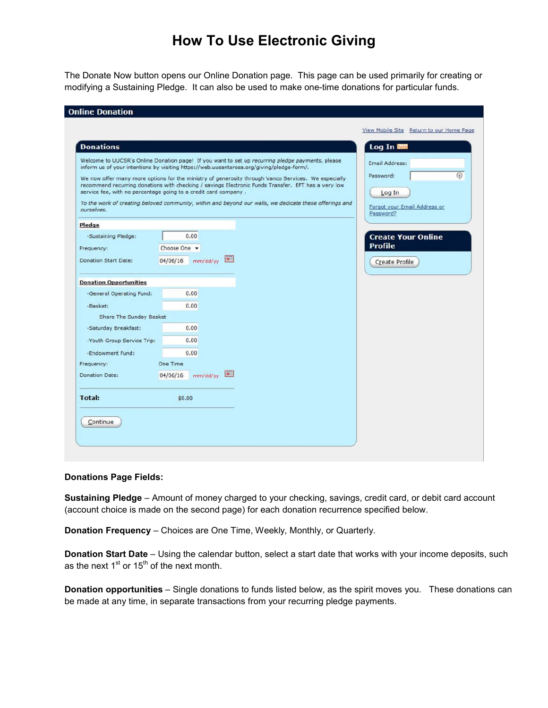# **How To Use Electronic Giving**

The Donate Now button opens our Online Donation page. This page can be used primarily for creating or modifying a Sustaining Pledge. It can also be used to make one-time donations for particular funds.

| Online Donation                                                 |                      |                                                                                                                                                                                               |                                           |
|-----------------------------------------------------------------|----------------------|-----------------------------------------------------------------------------------------------------------------------------------------------------------------------------------------------|-------------------------------------------|
|                                                                 |                      |                                                                                                                                                                                               | View Mobile Site Return to our Home Page  |
| <b>Donations</b>                                                |                      |                                                                                                                                                                                               | Log In <b>Rep</b>                         |
|                                                                 |                      | Welcome to UUCSR's Online Donation page! If you want to set up recurring pledge payments, please<br>inform us of your intentions by visiting https://web.uusantarosa.org/giving/pledge-form/. | <b>Email Address:</b>                     |
|                                                                 |                      | We now offer many more options for the ministry of generosity through Vanco Services. We especially                                                                                           | Password:                                 |
|                                                                 |                      | recommend recurring donations with checking / savings Electronic Funds Transfer. EFT has a very low                                                                                           |                                           |
| service fee, with no percentage going to a credit card company. |                      | To the work of creating beloved community, within and beyond our walls, we dedicate these offerings and                                                                                       | Log In                                    |
| ourselves.                                                      |                      |                                                                                                                                                                                               | Forgot your Email Address or<br>Password? |
| Pledge                                                          |                      |                                                                                                                                                                                               |                                           |
| -Sustaining Pledge:                                             | 0.00                 |                                                                                                                                                                                               | <b>Create Your Online</b>                 |
| Frequency:                                                      | Choose One -         |                                                                                                                                                                                               | <b>Profile</b>                            |
| <b>Donation Start Date:</b>                                     | 04/06/16<br>mm/dd/vy | $\vert \vec{a} \vert$                                                                                                                                                                         | Create Profile                            |
|                                                                 |                      |                                                                                                                                                                                               |                                           |
| <b>Donation Opportunities</b>                                   |                      |                                                                                                                                                                                               |                                           |
| -General Operating Fund:                                        | 0.00                 |                                                                                                                                                                                               |                                           |
| -Basket:                                                        | 0.00                 |                                                                                                                                                                                               |                                           |
| Share The Sunday Basket                                         |                      |                                                                                                                                                                                               |                                           |
| -Saturday Breakfast:                                            | 0.00                 |                                                                                                                                                                                               |                                           |
|                                                                 | 0.00                 |                                                                                                                                                                                               |                                           |
| -Youth Group Service Trip:                                      |                      |                                                                                                                                                                                               |                                           |
| -Endowment Fund:                                                | 0.00                 |                                                                                                                                                                                               |                                           |
| Frequency:                                                      | One Time             |                                                                                                                                                                                               |                                           |
| Donation Date:                                                  | 04/06/16<br>mm/dd/vy | IЭ                                                                                                                                                                                            |                                           |
|                                                                 |                      |                                                                                                                                                                                               |                                           |

## **Donations Page Fields:**

**Sustaining Pledge** – Amount of money charged to your checking, savings, credit card, or debit card account (account choice is made on the second page) for each donation recurrence specified below.

**Donation Frequency** – Choices are One Time, Weekly, Monthly, or Quarterly.

**Donation Start Date** – Using the calendar button, select a start date that works with your income deposits, such as the next  $1<sup>st</sup>$  or  $15<sup>th</sup>$  of the next month.

**Donation opportunities** – Single donations to funds listed below, as the spirit moves you. These donations can be made at any time, in separate transactions from your recurring pledge payments.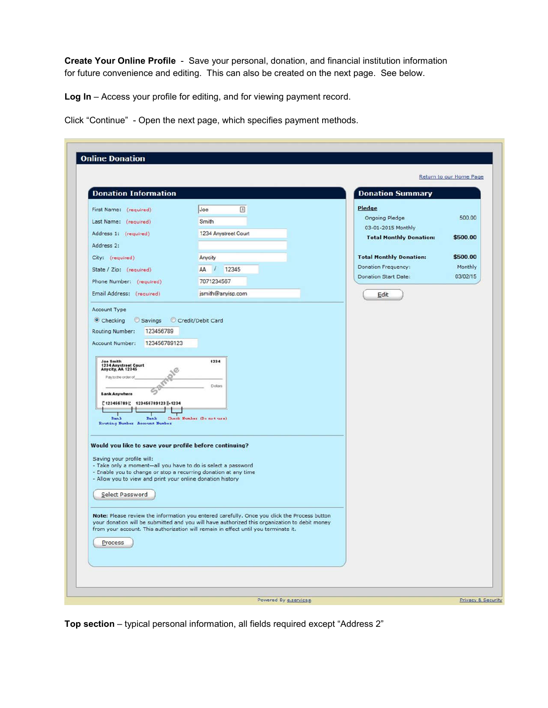**Create Your Online Profile** - Save your personal, donation, and financial institution information for future convenience and editing. This can also be created on the next page. See below.

**Log In** – Access your profile for editing, and for viewing payment record.

Click "Continue" - Open the next page, which specifies payment methods.

|                                                                                                                                                                                                                                               |                                                                                              | <b>Donation Summary</b>                              |          |
|-----------------------------------------------------------------------------------------------------------------------------------------------------------------------------------------------------------------------------------------------|----------------------------------------------------------------------------------------------|------------------------------------------------------|----------|
| First Name: (required)<br>Last Name: (required)                                                                                                                                                                                               | 固<br>Joe<br>Smith                                                                            | Pledge<br>Ongoing Pledge                             | 500.00   |
| Address 1: (required)                                                                                                                                                                                                                         | 1234 Anystreet Court                                                                         | 03-01-2015 Monthly<br><b>Total Monthly Donation:</b> | \$500.00 |
| Address 2:<br>City: (required)                                                                                                                                                                                                                | Anycity                                                                                      | <b>Total Monthly Donation:</b>                       | \$500.00 |
| State / Zip: (required)                                                                                                                                                                                                                       | AA<br>12345<br>$\mathcal{L}$                                                                 | Donation Frequency:                                  | Monthly  |
| Phone Number: (required)                                                                                                                                                                                                                      | 7071234567                                                                                   | <b>Donation Start Date:</b>                          | 03/02/15 |
| Email Address: (required)                                                                                                                                                                                                                     | jsmith@anyisp.com                                                                            | Edit                                                 |          |
| <b>Bank Anywhere</b><br>['123456789]; 123456789123  +1234<br>Bank<br>Bank<br>Routing Number Account Number<br>Would you like to save your profile before continuing?                                                                          | <b>Dollars</b><br>Check Number (Do not use)                                                  |                                                      |          |
| Saving your profile will:<br>- Take only a moment-all you have to do is select a password<br>- Enable you to change or stop a recurring donation at any time<br>- Allow you to view and print your online donation history<br>Select Password |                                                                                              |                                                      |          |
|                                                                                                                                                                                                                                               | Note: Please review the information you entered carefully. Once you click the Process button |                                                      |          |

**Top section** – typical personal information, all fields required except "Address 2"